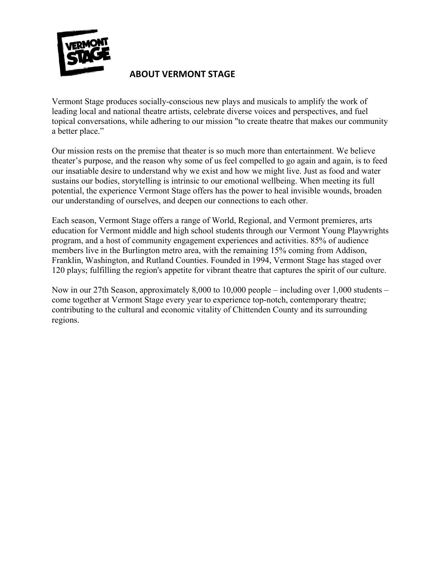

## **ABOUT VERMONT STAGE**

Vermont Stage produces socially-conscious new plays and musicals to amplify the work of leading local and national theatre artists, celebrate diverse voices and perspectives, and fuel topical conversations, while adhering to our mission "to create theatre that makes our community a better place."

Our mission rests on the premise that theater is so much more than entertainment. We believe theater's purpose, and the reason why some of us feel compelled to go again and again, is to feed our insatiable desire to understand why we exist and how we might live. Just as food and water sustains our bodies, storytelling is intrinsic to our emotional wellbeing. When meeting its full potential, the experience Vermont Stage offers has the power to heal invisible wounds, broaden our understanding of ourselves, and deepen our connections to each other.

Each season, Vermont Stage offers a range of World, Regional, and Vermont premieres, arts education for Vermont middle and high school students through our Vermont Young Playwrights program, and a host of community engagement experiences and activities. 85% of audience members live in the Burlington metro area, with the remaining 15% coming from Addison, Franklin, Washington, and Rutland Counties. Founded in 1994, Vermont Stage has staged over 120 plays; fulfilling the region's appetite for vibrant theatre that captures the spirit of our culture.

Now in our 27th Season, approximately 8,000 to 10,000 people – including over 1,000 students – come together at Vermont Stage every year to experience top-notch, contemporary theatre; contributing to the cultural and economic vitality of Chittenden County and its surrounding regions.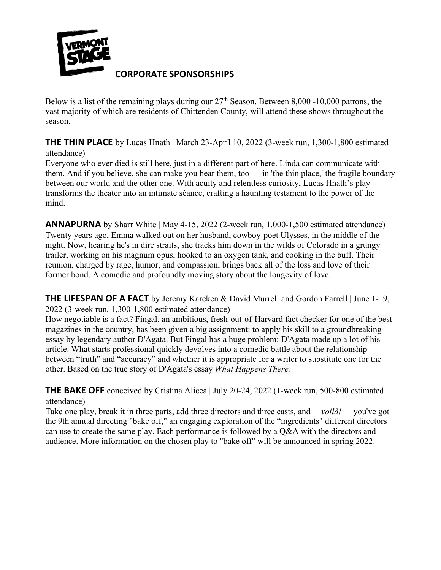

### **CORPORATE SPONSORSHIPS**

Below is a list of the remaining plays during our  $27<sup>th</sup>$  Season. Between 8,000 -10,000 patrons, the vast majority of which are residents of Chittenden County, will attend these shows throughout the season.

**THE THIN PLACE** by Lucas Hnath | March 23-April 10, 2022 (3-week run, 1,300-1,800 estimated attendance)

Everyone who ever died is still here, just in a different part of here. Linda can communicate with them. And if you believe, she can make you hear them, too — in 'the thin place,' the fragile boundary between our world and the other one. With acuity and relentless curiosity, Lucas Hnath's play transforms the theater into an intimate séance, crafting a haunting testament to the power of the mind.

**ANNAPURNA** by Sharr White | May 4-15, 2022 (2-week run, 1,000-1,500 estimated attendance) Twenty years ago, Emma walked out on her husband, cowboy-poet Ulysses, in the middle of the night. Now, hearing he's in dire straits, she tracks him down in the wilds of Colorado in a grungy trailer, working on his magnum opus, hooked to an oxygen tank, and cooking in the buff. Their reunion, charged by rage, humor, and compassion, brings back all of the loss and love of their former bond. A comedic and profoundly moving story about the longevity of love.

**THE LIFESPAN OF A FACT** by Jeremy Kareken & David Murrell and Gordon Farrell | June 1-19, 2022 (3-week run, 1,300-1,800 estimated attendance)

How negotiable is a fact? Fingal, an ambitious, fresh-out-of-Harvard fact checker for one of the best magazines in the country, has been given a big assignment: to apply his skill to a groundbreaking essay by legendary author D'Agata. But Fingal has a huge problem: D'Agata made up a lot of his article. What starts professional quickly devolves into a comedic battle about the relationship between "truth" and "accuracy" and whether it is appropriate for a writer to substitute one for the other. Based on the true story of D'Agata's essay *What Happens There.*

**THE BAKE OFF** conceived by Cristina Alicea | July 20-24, 2022 (1-week run, 500-800 estimated attendance)

Take one play, break it in three parts, add three directors and three casts, and —*voilà! —* you've got the 9th annual directing "bake off," an engaging exploration of the "ingredients" different directors can use to create the same play. Each performance is followed by a Q&A with the directors and audience. More information on the chosen play to "bake off" will be announced in spring 2022.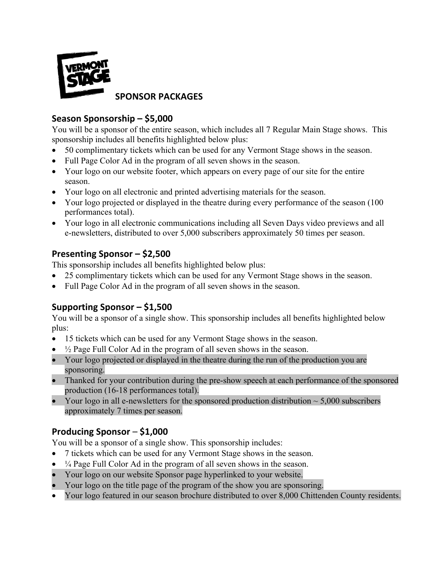

#### **SPONSOR PACKAGES**

## **Season Sponsorship – \$5,000**

You will be a sponsor of the entire season, which includes all 7 Regular Main Stage shows. This sponsorship includes all benefits highlighted below plus:

- 50 complimentary tickets which can be used for any Vermont Stage shows in the season.
- Full Page Color Ad in the program of all seven shows in the season.
- Your logo on our website footer, which appears on every page of our site for the entire season.
- Your logo on all electronic and printed advertising materials for the season.
- Your logo projected or displayed in the theatre during every performance of the season (100) performances total).
- Your logo in all electronic communications including all Seven Days video previews and all e-newsletters, distributed to over 5,000 subscribers approximately 50 times per season.

### **Presenting Sponsor – \$2,500**

This sponsorship includes all benefits highlighted below plus:

- 25 complimentary tickets which can be used for any Vermont Stage shows in the season.
- Full Page Color Ad in the program of all seven shows in the season.

# **Supporting Sponsor – \$1,500**

You will be a sponsor of a single show. This sponsorship includes all benefits highlighted below plus:

- 15 tickets which can be used for any Vermont Stage shows in the season.
- $\frac{1}{2}$  Page Full Color Ad in the program of all seven shows in the season.
- Your logo projected or displayed in the theatre during the run of the production you are sponsoring.
- Thanked for your contribution during the pre-show speech at each performance of the sponsored production (16-18 performances total).
- Your logo in all e-newsletters for the sponsored production distribution  $\sim$  5,000 subscribers approximately 7 times per season.

### **Producing Sponsor** – **\$1,000**

You will be a sponsor of a single show. This sponsorship includes:

- 7 tickets which can be used for any Vermont Stage shows in the season.
- $\bullet$   $\frac{1}{4}$  Page Full Color Ad in the program of all seven shows in the season.
- Your logo on our website Sponsor page hyperlinked to your website.
- Your logo on the title page of the program of the show you are sponsoring.
- Your logo featured in our season brochure distributed to over 8,000 Chittenden County residents.